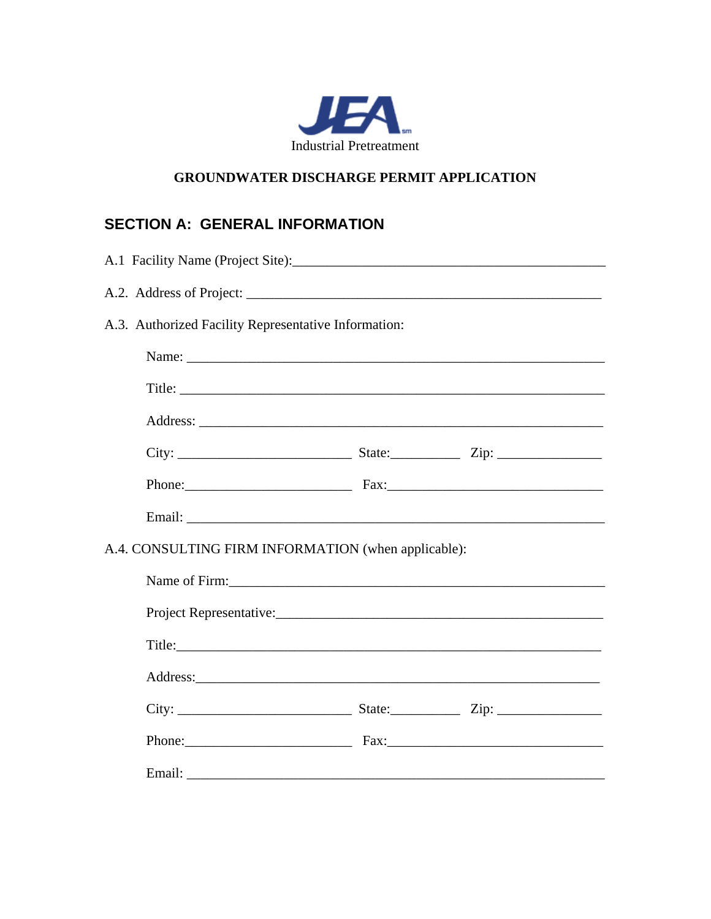

#### **GROUNDWATER DISCHARGE PERMIT APPLICATION**

## **SECTION A: GENERAL INFORMATION**

| A.1 Facility Name (Project Site):                    |  |  |  |  |  |
|------------------------------------------------------|--|--|--|--|--|
|                                                      |  |  |  |  |  |
| A.3. Authorized Facility Representative Information: |  |  |  |  |  |
|                                                      |  |  |  |  |  |
|                                                      |  |  |  |  |  |
|                                                      |  |  |  |  |  |
|                                                      |  |  |  |  |  |
|                                                      |  |  |  |  |  |
|                                                      |  |  |  |  |  |
| A.4. CONSULTING FIRM INFORMATION (when applicable):  |  |  |  |  |  |
| Name of Firm:                                        |  |  |  |  |  |
|                                                      |  |  |  |  |  |
|                                                      |  |  |  |  |  |
|                                                      |  |  |  |  |  |
|                                                      |  |  |  |  |  |
|                                                      |  |  |  |  |  |
|                                                      |  |  |  |  |  |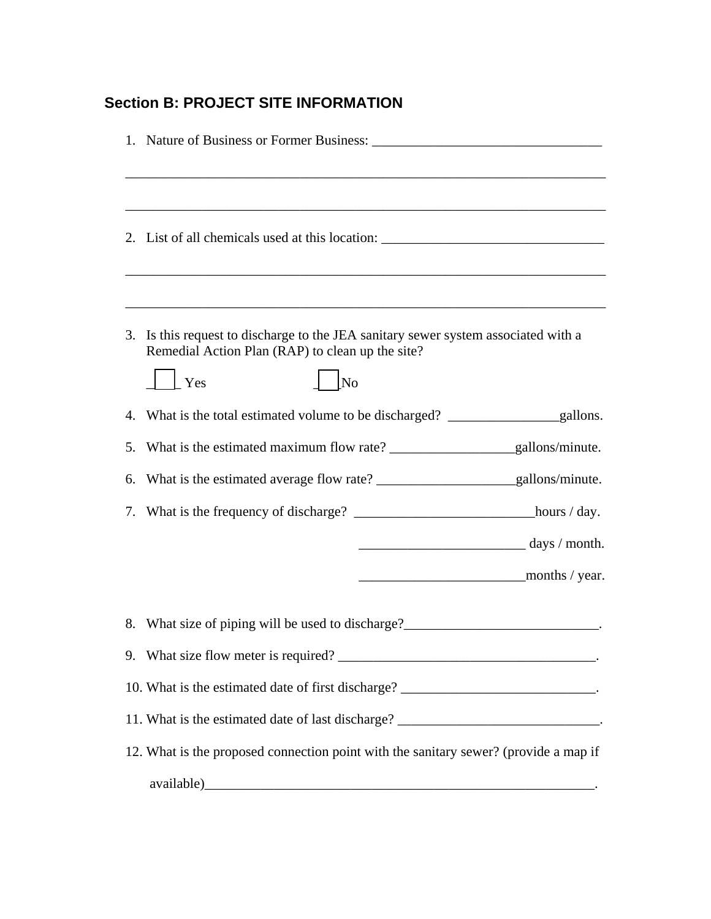# **Section B: PROJECT SITE INFORMATION**

|    | <u> 1989 - Johann Barn, amerikan berkema dalam berkema dalam berkema dalam berkema dalam berkema dalam berkema da</u><br>2. List of all chemicals used at this location: _________________________________ |
|----|------------------------------------------------------------------------------------------------------------------------------------------------------------------------------------------------------------|
|    | 3. Is this request to discharge to the JEA sanitary sewer system associated with a<br>Remedial Action Plan (RAP) to clean up the site?                                                                     |
|    | No<br>$\vert$ Yes                                                                                                                                                                                          |
| 5. |                                                                                                                                                                                                            |
| 6. |                                                                                                                                                                                                            |
|    |                                                                                                                                                                                                            |
|    | $\frac{1}{\text{days}}$ / month.                                                                                                                                                                           |
|    |                                                                                                                                                                                                            |
|    | 8. What size of piping will be used to discharge?_______________________________                                                                                                                           |
|    |                                                                                                                                                                                                            |
|    | 10. What is the estimated date of first discharge? _____________________________.                                                                                                                          |
|    | 11. What is the estimated date of last discharge? ______________________________.                                                                                                                          |
|    | 12. What is the proposed connection point with the sanitary sewer? (provide a map if                                                                                                                       |
|    |                                                                                                                                                                                                            |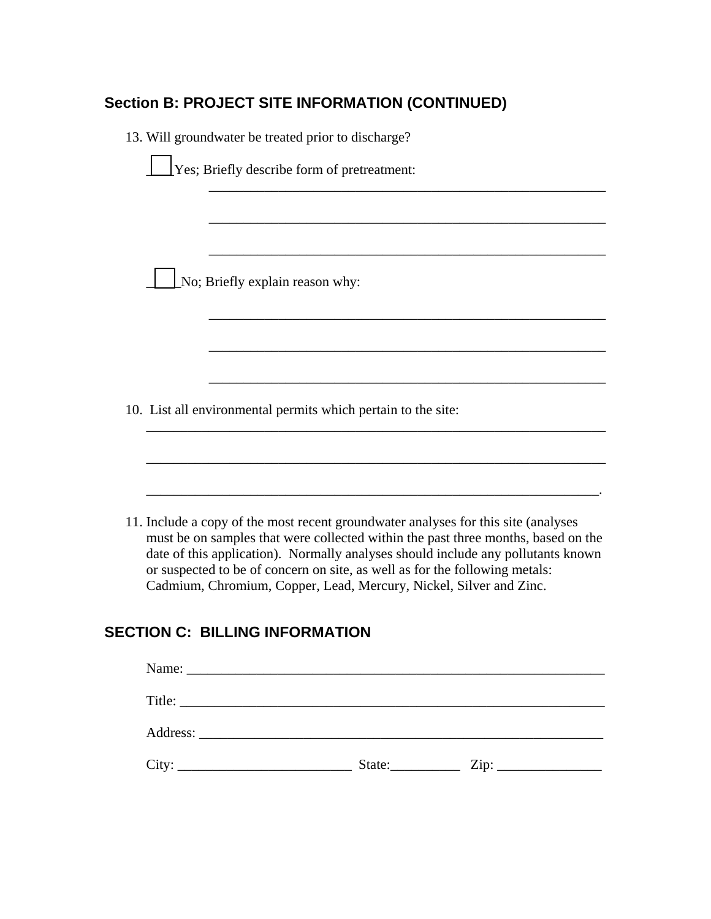#### **Section B: PROJECT SITE INFORMATION (CONTINUED)**

13. Will groundwater be treated prior to discharge?

\_\_\_\_\_No; Briefly explain reason why:

10. List all environmental permits which pertain to the site:

11. Include a copy of the most recent groundwater analyses for this site (analyses must be on samples that were collected within the past three months, based on the date of this application). Normally analyses should include any pollutants known or suspected to be of concern on site, as well as for the following metals: Cadmium, Chromium, Copper, Lead, Mercury, Nickel, Silver and Zinc.

\_\_\_\_\_\_\_\_\_\_\_\_\_\_\_\_\_\_\_\_\_\_\_\_\_\_\_\_\_\_\_\_\_\_\_\_\_\_\_\_\_\_\_\_\_\_\_\_\_\_\_\_\_\_\_\_\_

\_\_\_\_\_\_\_\_\_\_\_\_\_\_\_\_\_\_\_\_\_\_\_\_\_\_\_\_\_\_\_\_\_\_\_\_\_\_\_\_\_\_\_\_\_\_\_\_\_\_\_\_\_\_\_\_\_

\_\_\_\_\_\_\_\_\_\_\_\_\_\_\_\_\_\_\_\_\_\_\_\_\_\_\_\_\_\_\_\_\_\_\_\_\_\_\_\_\_\_\_\_\_\_\_\_\_\_\_\_\_\_\_\_\_

\_\_\_\_\_\_\_\_\_\_\_\_\_\_\_\_\_\_\_\_\_\_\_\_\_\_\_\_\_\_\_\_\_\_\_\_\_\_\_\_\_\_\_\_\_\_\_\_\_\_\_\_\_\_\_\_\_

\_\_\_\_\_\_\_\_\_\_\_\_\_\_\_\_\_\_\_\_\_\_\_\_\_\_\_\_\_\_\_\_\_\_\_\_\_\_\_\_\_\_\_\_\_\_\_\_\_\_\_\_\_\_\_\_\_\_\_\_\_\_\_\_\_\_

\_\_\_\_\_\_\_\_\_\_\_\_\_\_\_\_\_\_\_\_\_\_\_\_\_\_\_\_\_\_\_\_\_\_\_\_\_\_\_\_\_\_\_\_\_\_\_\_\_\_\_\_\_\_\_\_\_\_\_\_\_\_\_\_\_\_

\_\_\_\_\_\_\_\_\_\_\_\_\_\_\_\_\_\_\_\_\_\_\_\_\_\_\_\_\_\_\_\_\_\_\_\_\_\_\_\_\_\_\_\_\_\_\_\_\_\_\_\_\_\_\_\_\_\_\_\_\_\_\_\_\_.

 $\mathcal{L}_\text{max}$  , and the set of the set of the set of the set of the set of the set of the set of the set of the set of

#### **SECTION C: BILLING INFORMATION**

| Title: |        |                            |  |
|--------|--------|----------------------------|--|
|        |        |                            |  |
| City:  | State: | $\overline{\mathrm{Zip:}}$ |  |